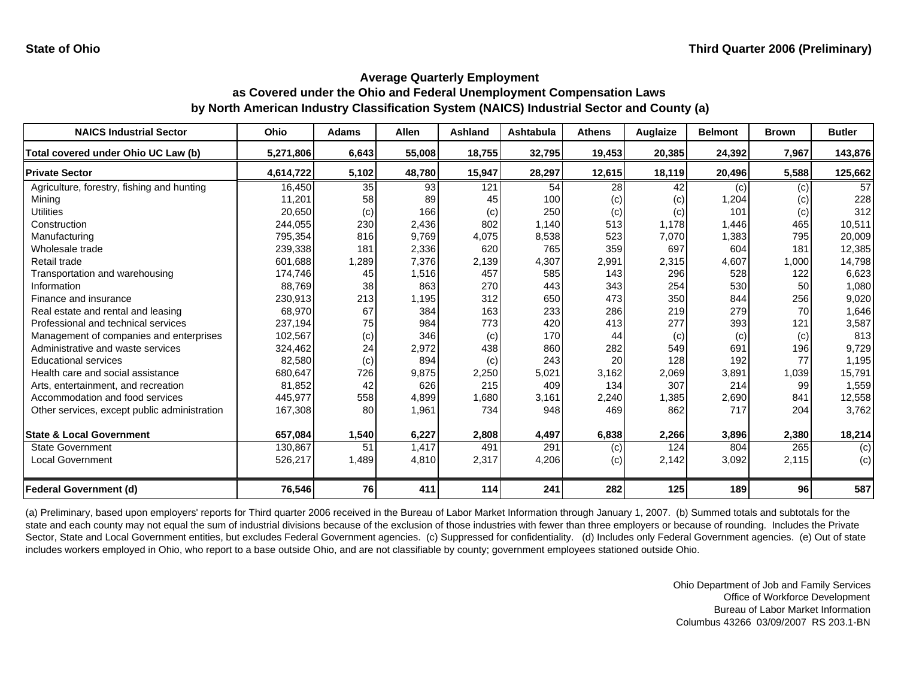| <b>NAICS Industrial Sector</b>               | <b>Ohio</b> | <b>Adams</b> | <b>Allen</b> | <b>Ashland</b> | <b>Ashtabula</b> | <b>Athens</b> | Auglaize | <b>Belmont</b> | <b>Brown</b> | <b>Butler</b> |
|----------------------------------------------|-------------|--------------|--------------|----------------|------------------|---------------|----------|----------------|--------------|---------------|
| Total covered under Ohio UC Law (b)          | 5,271,806   | 6,643        | 55,008       | 18,755         | 32,795           | 19,453        | 20,385   | 24,392         | 7,967        | 143,876       |
| <b>Private Sector</b>                        | 4,614,722   | 5,102        | 48,780       | 15,947         | 28,297           | 12,615        | 18,119   | 20,496         | 5,588        | 125,662       |
| Agriculture, forestry, fishing and hunting   | 16,450      | 35           | 93           | 121            | 54               | 28            | 42       | (c)            | (c)          | 57            |
| Mining                                       | 11,201      | 58           | 89           | 45             | 100              | (c)           | (c)      | 1,204          | (c)          | 228           |
| <b>Utilities</b>                             | 20,650      | (c)          | 166          | (c)            | 250              | (c)           | (c)      | 101            | (c)          | 312           |
| Construction                                 | 244,055     | 230          | 2,436        | 802            | 1,140            | 513           | 1,178    | 1,446          | 465          | 10,511        |
| Manufacturing                                | 795,354     | 816          | 9,769        | 4,075          | 8,538            | 523           | 7,070    | 1,383          | 795          | 20,009        |
| Wholesale trade                              | 239,338     | 181          | 2,336        | 620            | 765              | 359           | 697      | 604            | 181          | 12,385        |
| Retail trade                                 | 601,688     | 1,289        | 7,376        | 2,139          | 4,307            | 2,991         | 2,315    | 4,607          | 1,000        | 14,798        |
| Transportation and warehousing               | 174,746     | 45           | 1,516        | 457            | 585              | 143           | 296      | 528            | 122          | 6,623         |
| Information                                  | 88,769      | 38           | 863          | 270            | 443              | 343           | 254      | 530            | 50           | 1,080         |
| Finance and insurance                        | 230,913     | 213          | 1,195        | 312            | 650              | 473           | 350      | 844            | 256          | 9,020         |
| Real estate and rental and leasing           | 68,970      | 67           | 384          | 163            | 233              | 286           | 219      | 279            | 70           | 1,646         |
| Professional and technical services          | 237,194     | 75           | 984          | 773            | 420              | 413           | 277      | 393            | 121          | 3,587         |
| Management of companies and enterprises      | 102,567     | (c)          | 346          | (c)            | 170              | 44            | (c)      | (c)            | (c)          | 813           |
| Administrative and waste services            | 324,462     | 24           | 2,972        | 438            | 860              | 282           | 549      | 691            | 196          | 9,729         |
| <b>Educational services</b>                  | 82,580      | (c)          | 894          | (c)            | 243              | 20            | 128      | 192            | 77           | 1,195         |
| Health care and social assistance            | 680,647     | 726          | 9,875        | 2,250          | 5,021            | 3,162         | 2,069    | 3,891          | 1,039        | 15,791        |
| Arts, entertainment, and recreation          | 81,852      | 42           | 626          | 215            | 409              | 134           | 307      | 214            | 99           | 1,559         |
| Accommodation and food services              | 445,977     | 558          | 4,899        | 1,680          | 3,161            | 2,240         | 1,385    | 2,690          | 841          | 12,558        |
| Other services, except public administration | 167,308     | 80           | 1,961        | 734            | 948              | 469           | 862      | 717            | 204          | 3,762         |
| <b>State &amp; Local Government</b>          | 657,084     | 1,540        | 6,227        | 2,808          | 4,497            | 6,838         | 2,266    | 3,896          | 2,380        | 18,214        |
| <b>State Government</b>                      | 130,867     | 51           | 1,417        | 491            | 291              | (c)           | 124      | 804            | 265          | (c)           |
| <b>Local Government</b>                      | 526,217     | 1,489        | 4,810        | 2,317          | 4,206            | (c)           | 2,142    | 3,092          | 2,115        | (c)           |
| <b>Federal Government (d)</b>                | 76,546      | 76           | 411          | 114            | 241              | 282           | 125      | 189            | 96           | 587           |

(a) Preliminary, based upon employers' reports for Third quarter 2006 received in the Bureau of Labor Market Information through January 1, 2007. (b) Summed totals and subtotals for the state and each county may not equal the sum of industrial divisions because of the exclusion of those industries with fewer than three employers or because of rounding. Includes the Private Sector, State and Local Government entities, but excludes Federal Government agencies. (c) Suppressed for confidentiality. (d) Includes only Federal Government agencies. (e) Out of state includes workers employed in Ohio, who report to a base outside Ohio, and are not classifiable by county; government employees stationed outside Ohio.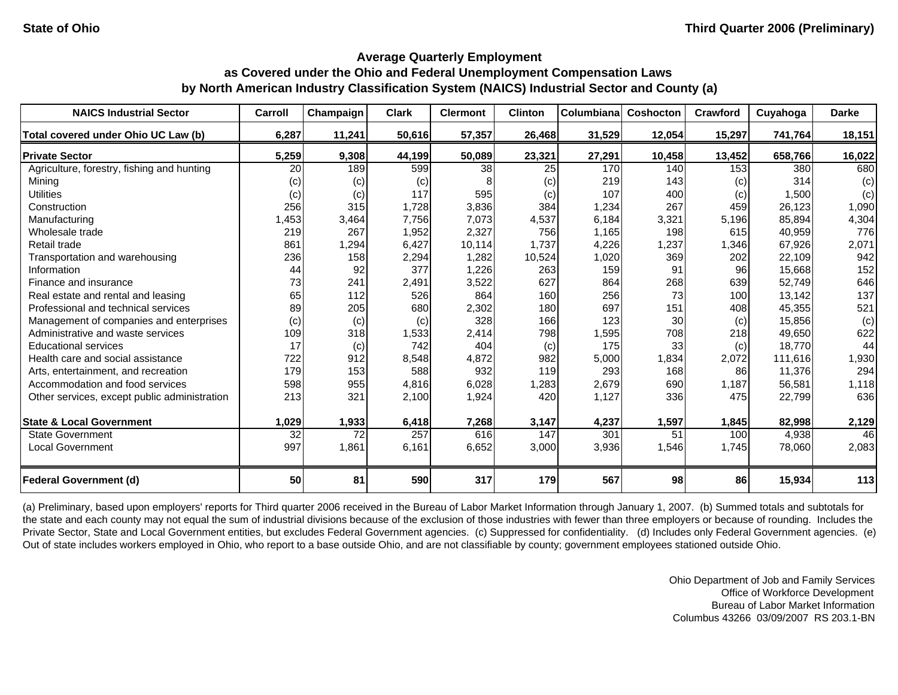| <b>NAICS Industrial Sector</b>               | Carroll         | Champaign | <b>Clark</b> | <b>Clermont</b> | <b>Clinton</b> | Columbiana | Coshocton | Crawford | Cuyahoga | <b>Darke</b> |
|----------------------------------------------|-----------------|-----------|--------------|-----------------|----------------|------------|-----------|----------|----------|--------------|
| Total covered under Ohio UC Law (b)          | 6,287           | 11,241    | 50,616       | 57,357          | 26,468         | 31,529     | 12,054    | 15,297   | 741,764  | 18,151       |
| <b>Private Sector</b>                        | 5,259           | 9,308     | 44,199       | 50,089          | 23,321         | 27,291     | 10,458    | 13,452   | 658,766  | 16,022       |
| Agriculture, forestry, fishing and hunting   | 20              | 189       | 599          | 38              | 25             | 170        | 140       | 153      | 380      | 680          |
| Mining                                       | (c)             | (c)       | (c)          |                 | (c)            | 219        | 143       | (c)      | 314      | (c)          |
| <b>Utilities</b>                             | (c)             | (c)       | 117          | 595             | (c)            | 107        | 400       | (c)      | 1,500    | (c)          |
| Construction                                 | 256             | 315       | 1,728        | 3,836           | 384            | 1,234      | 267       | 459      | 26,123   | 1,090        |
| Manufacturing                                | 1,453           | 3,464     | 7,756        | 7,073           | 4,537          | 6,184      | 3,321     | 5,196    | 85.894   | 4,304        |
| Wholesale trade                              | 219             | 267       | 1,952        | 2,327           | 756            | 1,165      | 198       | 615      | 40,959   | 776          |
| Retail trade                                 | 861             | 1,294     | 6,427        | 10,114          | 1,737          | 4,226      | ,237      | 1,346    | 67,926   | 2,071        |
| Transportation and warehousing               | 236             | 158       | 2,294        | 1,282           | 10,524         | 1,020      | 369       | 202      | 22,109   | 942          |
| Information                                  | 44              | 92        | 377          | 1,226           | 263            | 159        | 91        | 96       | 15.668   | 152          |
| Finance and insurance                        | 73              | 241       | 2,491        | 3,522           | 627            | 864        | 268       | 639      | 52,749   | 646          |
| Real estate and rental and leasing           | 65              | 112       | 526          | 864             | 160            | 256        | 73        | 100      | 13,142   | 137          |
| Professional and technical services          | 89              | 205       | 680          | 2,302           | 180            | 697        | 151       | 408      | 45,355   | 521          |
| Management of companies and enterprises      | (c)             | (c)       | (c)          | 328             | 166            | 123        | 30        | (c)      | 15,856   | (c)          |
| Administrative and waste services            | 109             | 318       | 1,533        | 2,414           | 798            | 1,595      | 708       | 218      | 49,650   | 622          |
| <b>Educational services</b>                  | 17              | (c)       | 742          | 404             | (c)            | 175        | 33        | (c)      | 18.770   | 44           |
| Health care and social assistance            | 722             | 912       | 8,548        | 4,872           | 982            | 5,000      | 1,834     | 2,072    | 111.616  | 1,930        |
| Arts, entertainment, and recreation          | 179             | 153       | 588          | 932             | 119            | 293        | 168       | 86       | 11,376   | 294          |
| Accommodation and food services              | 598             | 955       | 4,816        | 6,028           | 1,283          | 2,679      | 690       | 1,187    | 56,581   | 1,118        |
| Other services, except public administration | 213             | 321       | 2,100        | 1,924           | 420            | 1,127      | 336       | 475      | 22,799   | 636          |
| <b>State &amp; Local Government</b>          | 1,029           | 1,933     | 6,418        | 7,268           | 3,147          | 4,237      | 1,597     | 1,845    | 82,998   | 2,129        |
| <b>State Government</b>                      | $\overline{32}$ | 72        | 257          | 616             | 147            | 301        | 51        | 100      | 4,938    | 46           |
| <b>Local Government</b>                      | 997             | 1,861     | 6,161        | 6,652           | 3,000          | 3,936      | 1,546     | 1,745    | 78,060   | 2,083        |
| <b>Federal Government (d)</b>                | 50              | 81        | 590          | 317             | 179            | 567        | 98        | 86       | 15,934   | 113          |

(a) Preliminary, based upon employers' reports for Third quarter 2006 received in the Bureau of Labor Market Information through January 1, 2007. (b) Summed totals and subtotals for the state and each county may not equal the sum of industrial divisions because of the exclusion of those industries with fewer than three employers or because of rounding. Includes the Private Sector, State and Local Government entities, but excludes Federal Government agencies. (c) Suppressed for confidentiality. (d) Includes only Federal Government agencies. (e) Out of state includes workers employed in Ohio, who report to a base outside Ohio, and are not classifiable by county; government employees stationed outside Ohio.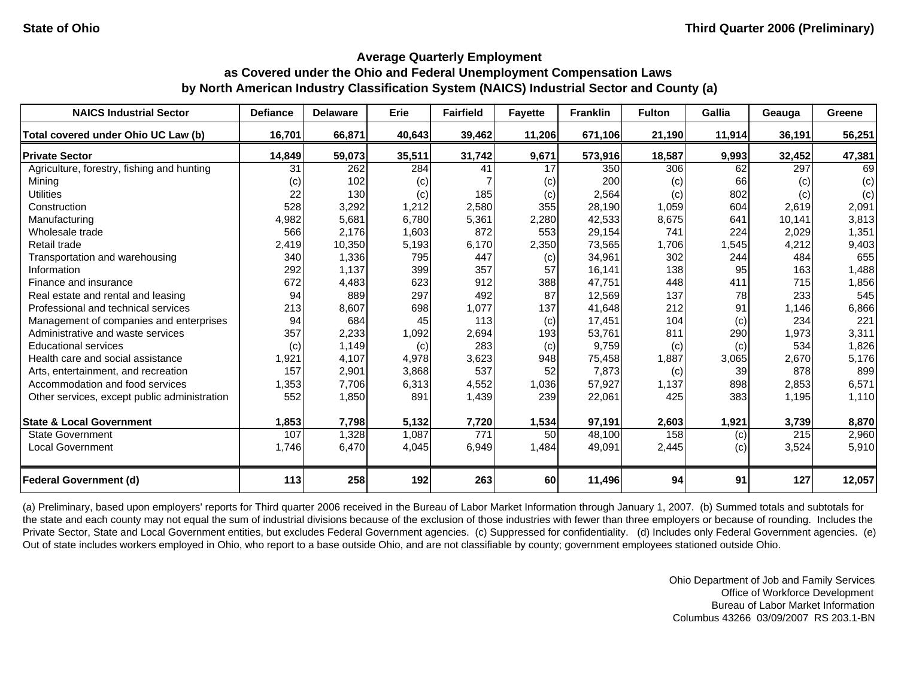| <b>NAICS Industrial Sector</b>               | <b>Defiance</b> | <b>Delaware</b> | <b>Erie</b> | <b>Fairfield</b> | <b>Fayette</b> | <b>Franklin</b> | <b>Fulton</b> | <b>Gallia</b> | Geauga           | Greene |
|----------------------------------------------|-----------------|-----------------|-------------|------------------|----------------|-----------------|---------------|---------------|------------------|--------|
| Total covered under Ohio UC Law (b)          | 16,701          | 66,871          | 40,643      | 39,462           | 11,206         | 671,106         | 21,190        | 11,914        | 36,191           | 56,251 |
| <b>Private Sector</b>                        | 14,849          | 59,073          | 35,511      | 31,742           | 9,671          | 573,916         | 18,587        | 9,993         | 32,452           | 47,381 |
| Agriculture, forestry, fishing and hunting   | 31              | 262             | 284         | 41               | 17             | 350             | 306           | 62            | 297              | 69     |
| Mining                                       | (c)             | 102             | (c)         |                  | (c)            | 200             | (c)           | 66            | (c)              | (c)    |
| <b>Utilities</b>                             | 22              | 130             | (c)         | 185              | (c)            | 2,564           | (c)           | 802           | (c)              | (c)    |
| Construction                                 | 528             | 3,292           | 1,212       | 2,580            | 355            | 28,190          | 1,059         | 604           | 2,619            | 2,091  |
| Manufacturing                                | 4,982           | 5,681           | 6,780       | 5,361            | 2,280          | 42,533          | 8,675         | 641           | 10,141           | 3,813  |
| Wholesale trade                              | 566             | 2,176           | 1,603       | 872              | 553            | 29,154          | 741           | 224           | 2,029            | 1,351  |
| Retail trade                                 | 2,419           | 10,350          | 5,193       | 6,170            | 2,350          | 73,565          | 1,706         | 1,545         | 4,212            | 9,403  |
| Transportation and warehousing               | 340             | 1,336           | 795         | 447              | (c)            | 34,961          | 302           | 244           | 484              | 655    |
| Information                                  | 292             | 1,137           | 399         | 357              | 57             | 16,141          | 138           | 95            | 163              | 1,488  |
| Finance and insurance                        | 672             | 4,483           | 623         | 912              | 388            | 47,751          | 448           | 411           | 715              | 1,856  |
| Real estate and rental and leasing           | 94              | 889             | 297         | 492              | 87             | 12,569          | 137           | 78            | 233              | 545    |
| Professional and technical services          | 213             | 8,607           | 698         | 1,077            | 137            | 41,648          | 212           | 91            | 1,146            | 6,866  |
| Management of companies and enterprises      | 94              | 684             | 45          | 113              | (c)            | 17,451          | 104           | (c)           | 234              | 221    |
| Administrative and waste services            | 357             | 2,233           | 1,092       | 2,694            | 193            | 53,761          | 811           | 290           | 1,973            | 3,311  |
| <b>Educational services</b>                  | (c)             | 1,149           | (c)         | 283              | (c)            | 9,759           | (c)           | (c)           | 534              | 1,826  |
| Health care and social assistance            | 1,921           | 4,107           | 4,978       | 3,623            | 948            | 75,458          | 1,887         | 3,065         | 2,670            | 5,176  |
| Arts, entertainment, and recreation          | 157             | 2,901           | 3,868       | 537              | 52             | 7,873           | (c)           | 39            | 878              | 899    |
| Accommodation and food services              | 1,353           | 7,706           | 6,313       | 4,552            | 1,036          | 57,927          | 1,137         | 898           | 2,853            | 6,571  |
| Other services, except public administration | 552             | 1,850           | 891         | 1,439            | 239            | 22,061          | 425           | 383           | 1,195            | 1,110  |
| <b>State &amp; Local Government</b>          | 1,853           | 7,798           | 5,132       | 7,720            | 1,534          | 97,191          | 2,603         | 1,921         | 3,739            | 8,870  |
| <b>State Government</b>                      | 107             | 1,328           | 1,087       | $\overline{771}$ | 50             | 48,100          | 158           | (c)           | $\overline{215}$ | 2,960  |
| <b>Local Government</b>                      | 1,746           | 6,470           | 4,045       | 6,949            | 1,484          | 49,091          | 2,445         | (c)           | 3,524            | 5,910  |
| <b>Federal Government (d)</b>                | 113             | 258             | 192         | 263              | 60             | 11,496          | 94            | 91            | 127              | 12,057 |

(a) Preliminary, based upon employers' reports for Third quarter 2006 received in the Bureau of Labor Market Information through January 1, 2007. (b) Summed totals and subtotals for the state and each county may not equal the sum of industrial divisions because of the exclusion of those industries with fewer than three employers or because of rounding. Includes the Private Sector, State and Local Government entities, but excludes Federal Government agencies. (c) Suppressed for confidentiality. (d) Includes only Federal Government agencies. (e) Out of state includes workers employed in Ohio, who report to a base outside Ohio, and are not classifiable by county; government employees stationed outside Ohio.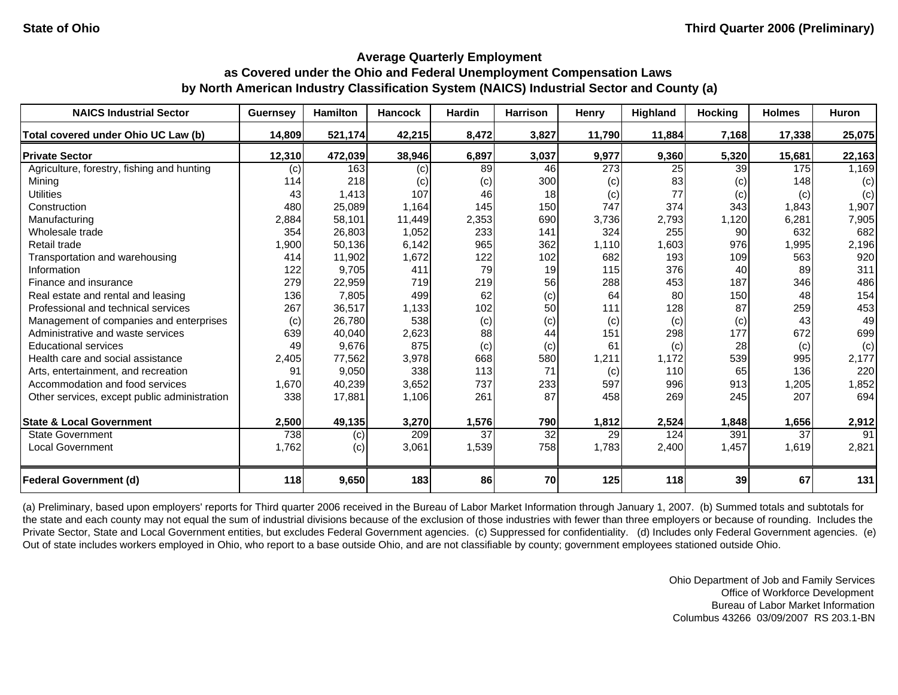| <b>NAICS Industrial Sector</b>               | <b>Guernsey</b> | <b>Hamilton</b> | <b>Hancock</b> | <b>Hardin</b> | <b>Harrison</b> | Henry  | Highland | <b>Hocking</b>  | <b>Holmes</b> | Huron  |
|----------------------------------------------|-----------------|-----------------|----------------|---------------|-----------------|--------|----------|-----------------|---------------|--------|
| Total covered under Ohio UC Law (b)          | 14,809          | 521,174         | 42,215         | 8,472         | 3,827           | 11,790 | 11,884   | 7,168           | 17,338        | 25,075 |
| <b>Private Sector</b>                        | 12,310          | 472,039         | 38,946         | 6,897         | 3,037           | 9,977  | 9,360    | 5,320           | 15,681        | 22,163 |
| Agriculture, forestry, fishing and hunting   | (c)             | 163             | (c)            | 89            | 46              | 273    | 25       | 39              | 175           | 1,169  |
| Mining                                       | 114             | 218             | (c)            | (c)           | 300             | (c)    | 83       | (c)             | 148           | (c)    |
| <b>Utilities</b>                             | 43              | 1,413           | 107            | 46            | 18              | (c)    | 77       | (c)             | (c)           | (c)    |
| Construction                                 | 480             | 25,089          | 1,164          | 145           | 150             | 747    | 374      | 343             | 1,843         | 1,907  |
| Manufacturing                                | 2,884           | 58,101          | 11,449         | 2,353         | 690             | 3,736  | 2,793    | 1,120           | 6,281         | 7,905  |
| Wholesale trade                              | 354             | 26,803          | 1,052          | 233           | 141             | 324    | 255      | 90              | 632           | 682    |
| Retail trade                                 | 1,900           | 50,136          | 6,142          | 965           | 362             | 1,110  | 1,603    | 976             | 1,995         | 2,196  |
| Transportation and warehousing               | 414             | 11,902          | 1,672          | 122           | 102             | 682    | 193      | 109             | 563           | 920    |
| Information                                  | 122             | 9,705           | 411            | 79            | 19              | 115    | 376      | 40              | 89            | 311    |
| Finance and insurance                        | 279             | 22,959          | 719            | 219           | 56              | 288    | 453      | 187             | 346           | 486    |
| Real estate and rental and leasing           | 136             | 7,805           | 499            | 62            | (c)             | 64     | 80       | 150             | 48            | 154    |
| Professional and technical services          | 267             | 36,517          | 1,133          | 102           | 50              | 111    | 128      | 87              | 259           | 453    |
| Management of companies and enterprises      | (c)             | 26,780          | 538            | (c)           | (c)             | (c)    | (c)      | (c)             | 43            | 49     |
| Administrative and waste services            | 639             | 40,040          | 2,623          | 88            | 44              | 151    | 298      | 177             | 672           | 699    |
| <b>Educational services</b>                  | 49              | 9,676           | 875            | (c)           | (c)             | 61     | (c)      | 28              | (c)           | (c)    |
| Health care and social assistance            | 2,405           | 77,562          | 3,978          | 668           | 580             | 1,211  | 1,172    | 539             | 995           | 2,177  |
| Arts, entertainment, and recreation          | 91              | 9,050           | 338            | 113           | 71              | (c)    | 110      | 65              | 136           | 220    |
| Accommodation and food services              | 1,670           | 40,239          | 3,652          | 737           | 233             | 597    | 996      | 913             | 1,205         | 1,852  |
| Other services, except public administration | 338             | 17,881          | 1,106          | 261           | 87              | 458    | 269      | 245             | 207           | 694    |
| <b>State &amp; Local Government</b>          | 2,500           | 49,135          | 3,270          | 1,576         | 790             | 1,812  | 2,524    | 1,848           | 1,656         | 2,912  |
| <b>State Government</b>                      | 738             | (c)             | 209            | 37            | 32              | 29     | 124      | 391             | 37            | 91     |
| <b>Local Government</b>                      | 1,762           | (c)             | 3,061          | 1,539         | 758             | 1,783  | 2,400    | 1,457           | 1,619         | 2,821  |
| <b>Federal Government (d)</b>                | 118             | 9,650           | 183            | 86            | 70              | 125    | 118      | 39 <sub>l</sub> | 67            | 131    |

(a) Preliminary, based upon employers' reports for Third quarter 2006 received in the Bureau of Labor Market Information through January 1, 2007. (b) Summed totals and subtotals for the state and each county may not equal the sum of industrial divisions because of the exclusion of those industries with fewer than three employers or because of rounding. Includes the Private Sector, State and Local Government entities, but excludes Federal Government agencies. (c) Suppressed for confidentiality. (d) Includes only Federal Government agencies. (e) Out of state includes workers employed in Ohio, who report to a base outside Ohio, and are not classifiable by county; government employees stationed outside Ohio.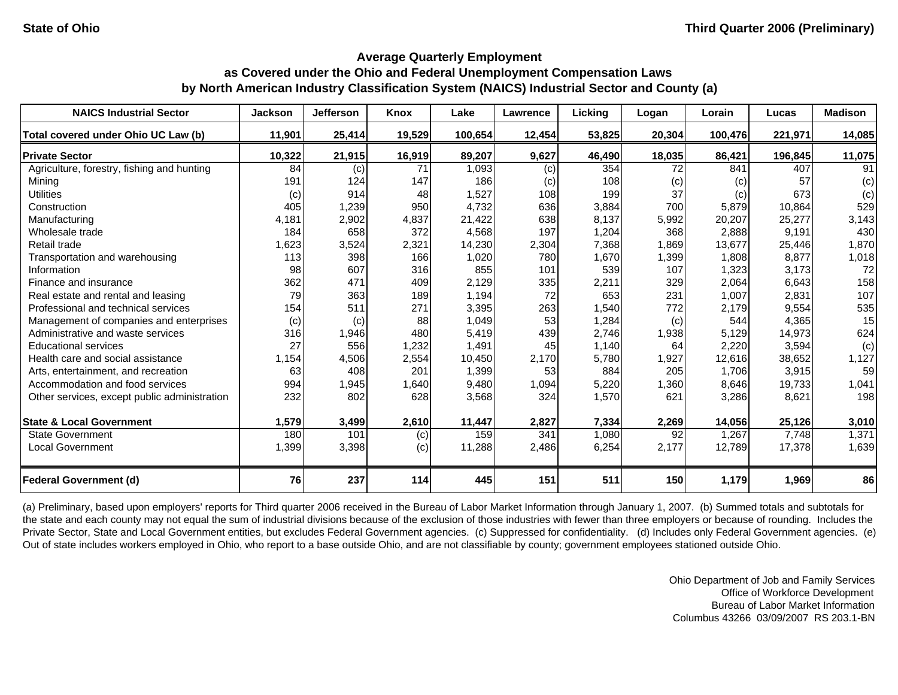| <b>NAICS Industrial Sector</b>               | <b>Jackson</b> | <b>Jefferson</b> | Knox   | Lake    | Lawrence | Licking | Logan  | Lorain  | Lucas   | <b>Madison</b> |
|----------------------------------------------|----------------|------------------|--------|---------|----------|---------|--------|---------|---------|----------------|
| Total covered under Ohio UC Law (b)          | 11,901         | 25,414           | 19,529 | 100,654 | 12,454   | 53,825  | 20,304 | 100,476 | 221,971 | 14,085         |
| <b>Private Sector</b>                        | 10,322         | 21,915           | 16,919 | 89,207  | 9,627    | 46,490  | 18,035 | 86,421  | 196,845 | 11,075         |
| Agriculture, forestry, fishing and hunting   | 84             | (c)              | 71     | 1,093   | (c)      | 354     | 72     | 841     | 407     | 91             |
| Mining                                       | 191            | 124              | 147    | 186     | (c)      | 108     | (c)    | (c)     | 57      | (c)            |
| <b>Utilities</b>                             | (c)            | 914              | 48     | 1,527   | 108      | 199     | 37     | (c)     | 673     | (c)            |
| Construction                                 | 405            | 1,239            | 950    | 4,732   | 636      | 3,884   | 700    | 5,879   | 10,864  | 529            |
| Manufacturing                                | 4,181          | 2,902            | 4,837  | 21,422  | 638      | 8,137   | 5,992  | 20,207  | 25,277  | 3,143          |
| Wholesale trade                              | 184            | 658              | 372    | 4,568   | 197      | 1,204   | 368    | 2,888   | 9,191   | 430            |
| Retail trade                                 | 1,623          | 3,524            | 2,321  | 14,230  | 2,304    | 7,368   | 1,869  | 13,677  | 25,446  | 1,870          |
| Transportation and warehousing               | 113            | 398              | 166    | 1,020   | 780      | 1,670   | 1,399  | 1,808   | 8,877   | 1,018          |
| Information                                  | 98             | 607              | 316    | 855     | 101      | 539     | 107    | 1,323   | 3,173   | 72             |
| Finance and insurance                        | 362            | 471              | 409    | 2,129   | 335      | 2,211   | 329    | 2,064   | 6,643   | 158            |
| Real estate and rental and leasing           | 79             | 363              | 189    | 1,194   | 72       | 653     | 231    | 1,007   | 2,831   | 107            |
| Professional and technical services          | 154            | 511              | 271    | 3,395   | 263      | 1,540   | 772    | 2,179   | 9,554   | 535            |
| Management of companies and enterprises      | (c)            | (c)              | 88     | 1,049   | 53       | 1,284   | (c)    | 544     | 4,365   | 15             |
| Administrative and waste services            | 316            | 1,946            | 480    | 5,419   | 439      | 2,746   | 1,938  | 5,129   | 14,973  | 624            |
| <b>Educational services</b>                  | 27             | 556              | 1,232  | 1,491   | 45       | 1,140   | 64     | 2,220   | 3,594   | (c)            |
| Health care and social assistance            | 1,154          | 4,506            | 2,554  | 10,450  | 2,170    | 5,780   | 1,927  | 12,616  | 38,652  | 1,127          |
| Arts, entertainment, and recreation          | 63             | 408              | 201    | 1,399   | 53       | 884     | 205    | 1,706   | 3,915   | 59             |
| Accommodation and food services              | 994            | 1,945            | 1,640  | 9,480   | 1,094    | 5,220   | 1,360  | 8,646   | 19,733  | 1,041          |
| Other services, except public administration | 232            | 802              | 628    | 3,568   | 324      | 1,570   | 621    | 3,286   | 8,621   | 198            |
| <b>State &amp; Local Government</b>          | 1,579          | 3,499            | 2,610  | 11,447  | 2,827    | 7,334   | 2,269  | 14,056  | 25,126  | 3,010          |
| <b>State Government</b>                      | 180            | 101              | (c)    | 159     | 341      | 1,080   | 92     | 1,267   | 7,748   | 1,371          |
| <b>Local Government</b>                      | 1,399          | 3,398            | (c)    | 11,288  | 2,486    | 6,254   | 2,177  | 12,789  | 17,378  | 1,639          |
| <b>Federal Government (d)</b>                | 76             | 237              | 114    | 445     | 151      | 511     | 150    | 1,179   | 1,969   | 86             |

(a) Preliminary, based upon employers' reports for Third quarter 2006 received in the Bureau of Labor Market Information through January 1, 2007. (b) Summed totals and subtotals for the state and each county may not equal the sum of industrial divisions because of the exclusion of those industries with fewer than three employers or because of rounding. Includes the Private Sector, State and Local Government entities, but excludes Federal Government agencies. (c) Suppressed for confidentiality. (d) Includes only Federal Government agencies. (e) Out of state includes workers employed in Ohio, who report to a base outside Ohio, and are not classifiable by county; government employees stationed outside Ohio.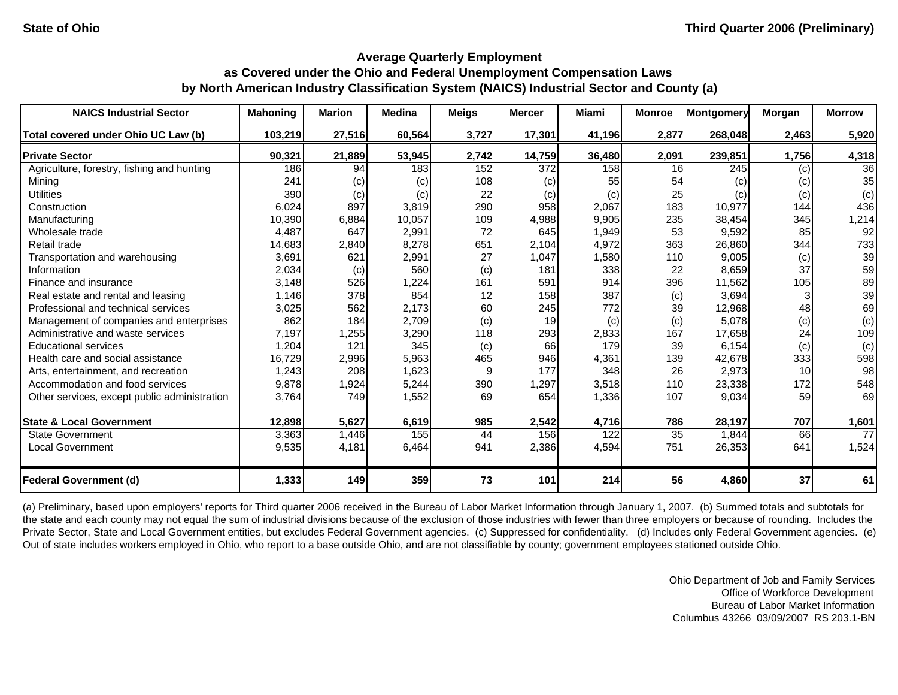| <b>NAICS Industrial Sector</b>               | <b>Mahoning</b> | <b>Marion</b> | <b>Medina</b> | <b>Meigs</b> | <b>Mercer</b>    | <b>Miami</b> | <b>Monroe</b> | <b>Montgomery</b> | Morgan | <b>Morrow</b>   |
|----------------------------------------------|-----------------|---------------|---------------|--------------|------------------|--------------|---------------|-------------------|--------|-----------------|
| Total covered under Ohio UC Law (b)          | 103,219         | 27,516        | 60,564        | 3,727        | 17,301           | 41,196       | 2,877         | 268,048           | 2,463  | 5,920           |
| <b>Private Sector</b>                        | 90,321          | 21,889        | 53,945        | 2,742        | 14,759           | 36,480       | 2,091         | 239,851           | 1,756  | 4,318           |
| Agriculture, forestry, fishing and hunting   | 186             | 94            | 183           | 152          | $\overline{372}$ | 158          | 16            | 245               | (c)    | 36              |
| Mining                                       | 241             | (c)           | (c)           | 108          | (c)              | 55           | 54            | (c)               | (c)    | 35              |
| <b>Utilities</b>                             | 390             | (c)           | (c)           | 22           | (c)              | (c)          | 25            | (c)               | (c)    | (c)             |
| Construction                                 | 6,024           | 897           | 3,819         | 290          | 958              | 2,067        | 183           | 10,977            | 144    | 436             |
| Manufacturing                                | 10,390          | 6,884         | 10,057        | 109          | 4,988            | 9,905        | 235           | 38,454            | 345    | 1,214           |
| Wholesale trade                              | 4,487           | 647           | 2,991         | 72           | 645              | 1,949        | 53            | 9,592             | 85     | 92              |
| Retail trade                                 | 14,683          | 2,840         | 8,278         | 651          | 2,104            | 4,972        | 363           | 26,860            | 344    | 733             |
| Transportation and warehousing               | 3,691           | 621           | 2,991         | 27           | 1,047            | 1,580        | 110           | 9,005             | (c)    | 39              |
| Information                                  | 2,034           | (c)           | 560           | (c)          | 181              | 338          | 22            | 8,659             | 37     | 59              |
| Finance and insurance                        | 3,148           | 526           | 1,224         | 161          | 591              | 914          | 396           | 11,562            | 105    | 89              |
| Real estate and rental and leasing           | 1,146           | 378           | 854           | 12           | 158              | 387          | (c)           | 3,694             |        | 39              |
| Professional and technical services          | 3,025           | 562           | 2,173         | 60           | 245              | 772          | 39            | 12,968            | 48     | 69              |
| Management of companies and enterprises      | 862             | 184           | 2,709         | (c)          | 19               | (c)          | (c)           | 5,078             | (c)    | (c)             |
| Administrative and waste services            | 7,197           | 1,255         | 3,290         | 118          | 293              | 2,833        | 167           | 17,658            | 24     | 109             |
| <b>Educational services</b>                  | 1,204           | 121           | 345           | (c)          | 66               | 179          | 39            | 6,154             | (c)    | (c)             |
| Health care and social assistance            | 16,729          | 2,996         | 5,963         | 465          | 946              | 4,361        | 139           | 42,678            | 333    | 598             |
| Arts, entertainment, and recreation          | 1,243           | 208           | 1,623         | 9            | 177              | 348          | 26            | 2,973             | 10     | 98              |
| Accommodation and food services              | 9,878           | 1,924         | 5,244         | 390          | 1,297            | 3,518        | 110           | 23,338            | 172    | 548             |
| Other services, except public administration | 3,764           | 749           | 1,552         | 69           | 654              | 1,336        | 107           | 9,034             | 59     | 69              |
| <b>State &amp; Local Government</b>          | 12,898          | 5,627         | 6,619         | 985          | 2,542            | 4,716        | 786           | 28,197            | 707    | 1,601           |
| <b>State Government</b>                      | 3,363           | 1,446         | 155           | 44           | 156              | 122          | 35            | 1,844             | 66     | $\overline{77}$ |
| <b>Local Government</b>                      | 9,535           | 4,181         | 6,464         | 941          | 2,386            | 4,594        | 751           | 26,353            | 641    | 1,524           |
| <b>Federal Government (d)</b>                | 1,333           | 149           | 359           | 73           | 101              | 214          | 56            | 4,860             | 37     | 61              |

(a) Preliminary, based upon employers' reports for Third quarter 2006 received in the Bureau of Labor Market Information through January 1, 2007. (b) Summed totals and subtotals for the state and each county may not equal the sum of industrial divisions because of the exclusion of those industries with fewer than three employers or because of rounding. Includes the Private Sector, State and Local Government entities, but excludes Federal Government agencies. (c) Suppressed for confidentiality. (d) Includes only Federal Government agencies. (e) Out of state includes workers employed in Ohio, who report to a base outside Ohio, and are not classifiable by county; government employees stationed outside Ohio.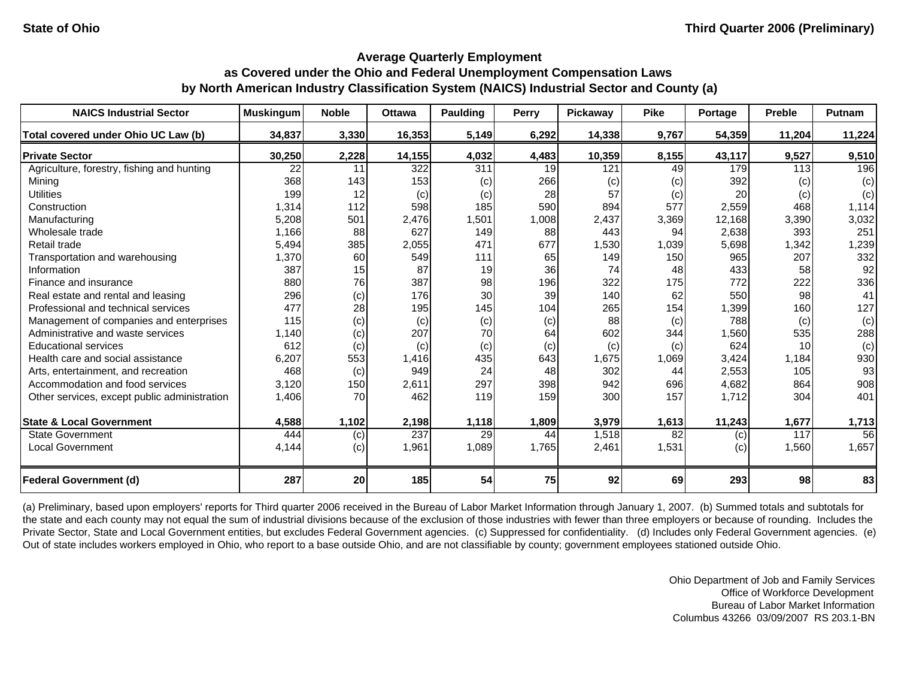| <b>NAICS Industrial Sector</b>               | <b>Muskingum</b> | <b>Noble</b> | <b>Ottawa</b>    | <b>Paulding</b> | Perry | Pickaway | <b>Pike</b>     | Portage | <b>Preble</b> | Putnam |
|----------------------------------------------|------------------|--------------|------------------|-----------------|-------|----------|-----------------|---------|---------------|--------|
| Total covered under Ohio UC Law (b)          | 34,837           | 3,330        | 16,353           | 5,149           | 6,292 | 14,338   | 9,767           | 54,359  | 11,204        | 11,224 |
| <b>Private Sector</b>                        | 30,250           | 2,228        | 14,155           | 4,032           | 4,483 | 10,359   | 8,155           | 43,117  | 9,527         | 9,510  |
| Agriculture, forestry, fishing and hunting   | 22               | 11           | 322              | 311             | 19    | 121      | 49              | 179     | 113           | 196    |
| Minina                                       | 368              | 143          | 153              | (c)             | 266   | (c)      | (c)             | 392     | (c)           | (c)    |
| <b>Utilities</b>                             | 199              | 12           | (c)              | (c)             | 28    | 57       | (c)             | 20      | (c)           | (c)    |
| Construction                                 | 1,314            | 112          | 598              | 185             | 590   | 894      | 577             | 2,559   | 468           | 1,114  |
| Manufacturing                                | 5,208            | 501          | 2,476            | 1,501           | 1,008 | 2,437    | 3,369           | 12,168  | 3,390         | 3,032  |
| Wholesale trade                              | 1,166            | 88           | 627              | 149             | 88    | 443      | 94              | 2,638   | 393           | 251    |
| Retail trade                                 | 5,494            | 385          | 2,055            | 471             | 677   | 1,530    | 1,039           | 5,698   | 1,342         | 1,239  |
| Transportation and warehousing               | 1,370            | 60           | 549              | 111             | 65    | 149      | 150             | 965     | 207           | 332    |
| Information                                  | 387              | 15           | 87               | 19              | 36    | 74       | 48              | 433     | 58            | 92     |
| Finance and insurance                        | 880              | 76           | 387              | 98              | 196   | 322      | 175             | 772     | 222           | 336    |
| Real estate and rental and leasing           | 296              | (c)          | 176              | 30              | 39    | 140      | 62              | 550     | 98            | 41     |
| Professional and technical services          | 477              | 28           | 195              | 145             | 104   | 265      | 154             | 1,399   | 160           | 127    |
| Management of companies and enterprises      | 115              | (c)          | (c)              | (c)             | (c)   | 88       | (c)             | 788     | (c)           | (c)    |
| Administrative and waste services            | 1,140            | (c)          | 207              | 70              | 64    | 602      | 344             | 1,560   | 535           | 288    |
| <b>Educational services</b>                  | 612              | (c)          | (c)              | (c)             | (c)   | (c)      | (c)             | 624     | 10            | (c)    |
| Health care and social assistance            | 6,207            | 553          | 1,416            | 435             | 643   | 1,675    | 1,069           | 3,424   | 1,184         | 930    |
| Arts, entertainment, and recreation          | 468              | (c)          | 949              | 24              | 48    | 302      | 44              | 2,553   | 105           | 93     |
| Accommodation and food services              | 3,120            | 150          | 2,611            | 297             | 398   | 942      | 696             | 4,682   | 864           | 908    |
| Other services, except public administration | 1,406            | 70           | 462              | 119             | 159   | 300      | 157             | 1,712   | 304           | 401    |
| <b>State &amp; Local Government</b>          | 4,588            | 1,102        | 2,198            | 1,118           | 1,809 | 3,979    | 1,613           | 11,243  | 1,677         | 1,713  |
| <b>State Government</b>                      | 444              | (c)          | $\overline{237}$ | 29              | 44    | 1,518    | $\overline{82}$ | (c)     | 117           | 56     |
| <b>Local Government</b>                      | 4,144            | (c)          | 1,961            | 1,089           | 1,765 | 2,461    | 1,531           | (c)     | 1,560         | 1,657  |
| <b>Federal Government (d)</b>                | 287              | 20           | 185              | 54              | 75    | 92       | 69              | 293     | 98            | 83     |

(a) Preliminary, based upon employers' reports for Third quarter 2006 received in the Bureau of Labor Market Information through January 1, 2007. (b) Summed totals and subtotals for the state and each county may not equal the sum of industrial divisions because of the exclusion of those industries with fewer than three employers or because of rounding. Includes the Private Sector, State and Local Government entities, but excludes Federal Government agencies. (c) Suppressed for confidentiality. (d) Includes only Federal Government agencies. (e) Out of state includes workers employed in Ohio, who report to a base outside Ohio, and are not classifiable by county; government employees stationed outside Ohio.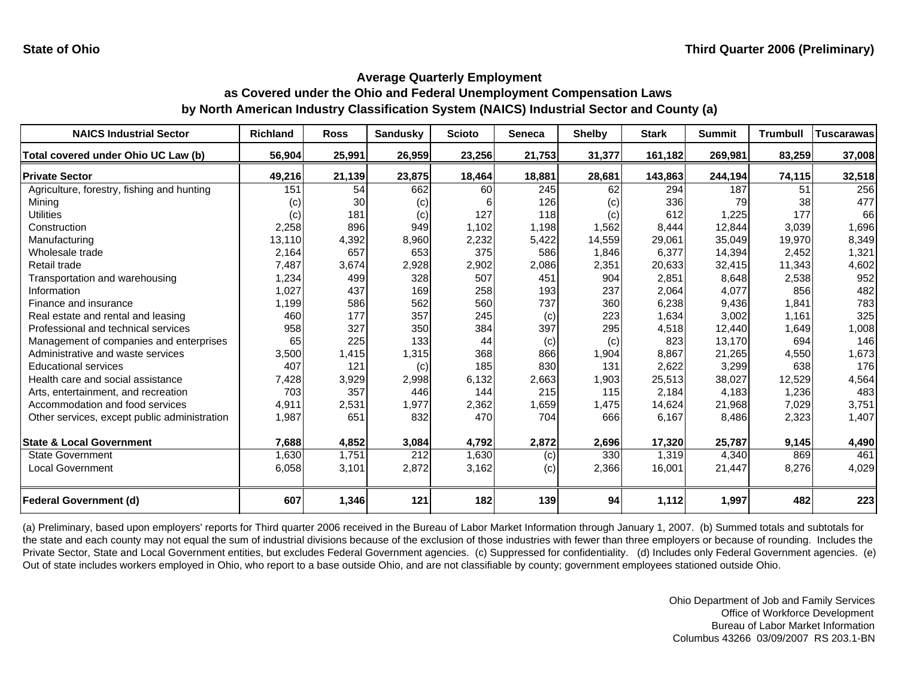| <b>NAICS Industrial Sector</b>               | <b>Richland</b> | <b>Ross</b> | <b>Sandusky</b> | <b>Scioto</b> | Seneca | <b>Shelby</b> | <b>Stark</b> | <b>Summit</b> | <b>Trumbull</b> | <b>Tuscarawas</b> |
|----------------------------------------------|-----------------|-------------|-----------------|---------------|--------|---------------|--------------|---------------|-----------------|-------------------|
| Total covered under Ohio UC Law (b)          | 56,904          | 25,991      | 26,959          | 23,256        | 21,753 | 31,377        | 161,182      | 269,981       | 83,259          | 37,008            |
| <b>Private Sector</b>                        | 49,216          | 21,139      | 23,875          | 18,464        | 18,881 | 28,681        | 143,863      | 244,194       | 74,115          | 32,518            |
| Agriculture, forestry, fishing and hunting   | 151             | 54          | 662             | 60            | 245    | 62            | 294          | 187           | 51              | 256               |
| Minina                                       | (c)             | 30          | (c)             |               | 126    | (c)           | 336          | 79            | 38              | 477               |
| <b>Utilities</b>                             | (c)             | 181         | (c)             | 127           | 118    | (c)           | 612          | 1,225         | 177             | 66                |
| Construction                                 | 2,258           | 896         | 949             | 1,102         | 1,198  | 1,562         | 8,444        | 12,844        | 3,039           | 1,696             |
| Manufacturing                                | 13,110          | 4,392       | 8,960           | 2,232         | 5,422  | 14,559        | 29,061       | 35,049        | 19,970          | 8,349             |
| Wholesale trade                              | 2,164           | 657         | 653             | 375           | 586    | 1,846         | 6,377        | 14,394        | 2,452           | 1,321             |
| Retail trade                                 | 7.487           | 3,674       | 2,928           | 2,902         | 2,086  | 2,351         | 20,633       | 32,415        | 11,343          | 4,602             |
| Transportation and warehousing               | 1,234           | 499         | 328             | 507           | 451    | 904           | 2,851        | 8,648         | 2,538           | 952               |
| Information                                  | 1,027           | 437         | 169             | 258           | 193    | 237           | 2,064        | 4,077         | 856             | 482               |
| Finance and insurance                        | 1,199           | 586         | 562             | 560           | 737    | 360           | 6,238        | 9,436         | 1,841           | 783               |
| Real estate and rental and leasing           | 460             | 177         | 357             | 245           | (c)    | 223           | 1,634        | 3,002         | 1,161           | 325               |
| Professional and technical services          | 958             | 327         | 350             | 384           | 397    | 295           | 4,518        | 12,440        | 1,649           | 1,008             |
| Management of companies and enterprises      | 65              | 225         | 133             | 44            | (c)    | (c)           | 823          | 13,170        | 694             | 146               |
| Administrative and waste services            | 3,500           | 1,415       | 1,315           | 368           | 866    | 1,904         | 8,867        | 21,265        | 4,550           | 1,673             |
| <b>Educational services</b>                  | 407             | 121         | (c)             | 185           | 830    | 131           | 2,622        | 3,299         | 638             | 176               |
| Health care and social assistance            | 7,428           | 3,929       | 2,998           | 6,132         | 2,663  | 1,903         | 25,513       | 38,027        | 12,529          | 4,564             |
| Arts, entertainment, and recreation          | 703             | 357         | 446             | 144           | 215    | 115           | 2,184        | 4,183         | 1,236           | 483               |
| Accommodation and food services              | 4,911           | 2,531       | 1,977           | 2,362         | 1,659  | 1,475         | 14,624       | 21,968        | 7,029           | 3,751             |
| Other services, except public administration | 1,987           | 651         | 832             | 470           | 704    | 666           | 6,167        | 8,486         | 2,323           | 1,407             |
| <b>State &amp; Local Government</b>          | 7,688           | 4,852       | 3,084           | 4,792         | 2,872  | 2,696         | 17,320       | 25,787        | 9,145           | 4,490             |
| <b>State Government</b>                      | 1,630           | 1,751       | 212             | 1,630         | (c)    | 330           | 1,319        | 4,340         | 869             | 461               |
| Local Government                             | 6,058           | 3,101       | 2,872           | 3,162         | (c)    | 2,366         | 16,001       | 21,447        | 8,276           | 4,029             |
| <b>Federal Government (d)</b>                | 607             | 1,346       | 121             | 182           | 139    | 94            | 1,112        | 1,997         | 482             | 223               |

(a) Preliminary, based upon employers' reports for Third quarter 2006 received in the Bureau of Labor Market Information through January 1, 2007. (b) Summed totals and subtotals for the state and each county may not equal the sum of industrial divisions because of the exclusion of those industries with fewer than three employers or because of rounding. Includes the Private Sector, State and Local Government entities, but excludes Federal Government agencies. (c) Suppressed for confidentiality. (d) Includes only Federal Government agencies. (e) Out of state includes workers employed in Ohio, who report to a base outside Ohio, and are not classifiable by county; government employees stationed outside Ohio.